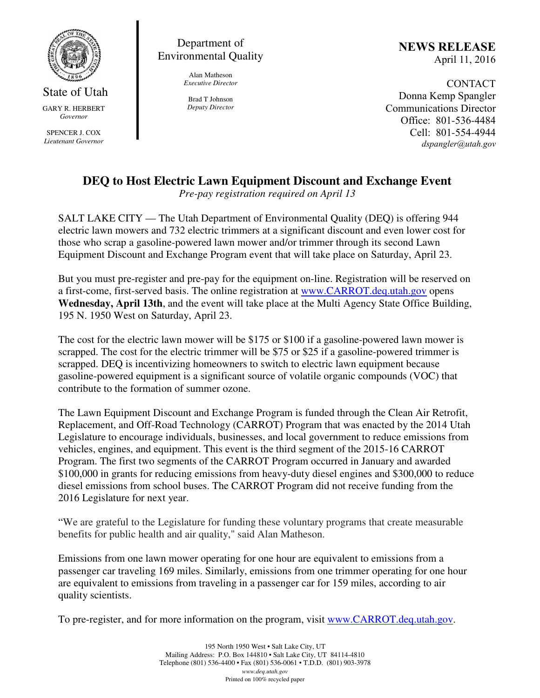

State of Utah GARY R. HERBERT *Governor* 

SPENCER J. COX *Lieutenant Governor* 

Department of Environmental Quality

> Alan Matheson *Executive Director*

Brad T Johnson *Deputy Director*  NEWS RELEASE April 11, 2016

CONTACT Donna Kemp Spangler Communications Director Office: 801-536-4484 Cell: 801-554-4944 dspangler@utah.gov

## **DEQ to Host Electric Lawn Equipment Discount and Exchange Event**

*Pre-pay registration required on April 13* 

SALT LAKE CITY — The Utah Department of Environmental Quality (DEQ) is offering 944 electric lawn mowers and 732 electric trimmers at a significant discount and even lower cost for those who scrap a gasoline-powered lawn mower and/or trimmer through its second Lawn Equipment Discount and Exchange Program event that will take place on Saturday, April 23.

But you must pre-register and pre-pay for the equipment on-line. Registration will be reserved on a first-come, first-served basis. The online registration at www.CARROT.deq.utah.gov opens **Wednesday, April 13th**, and the event will take place at the Multi Agency State Office Building, 195 N. 1950 West on Saturday, April 23.

The cost for the electric lawn mower will be \$175 or \$100 if a gasoline-powered lawn mower is scrapped. The cost for the electric trimmer will be \$75 or \$25 if a gasoline-powered trimmer is scrapped. DEQ is incentivizing homeowners to switch to electric lawn equipment because gasoline-powered equipment is a significant source of volatile organic compounds (VOC) that contribute to the formation of summer ozone.

The Lawn Equipment Discount and Exchange Program is funded through the Clean Air Retrofit, Replacement, and Off-Road Technology (CARROT) Program that was enacted by the 2014 Utah Legislature to encourage individuals, businesses, and local government to reduce emissions from vehicles, engines, and equipment. This event is the third segment of the 2015-16 CARROT Program. The first two segments of the CARROT Program occurred in January and awarded \$100,000 in grants for reducing emissions from heavy-duty diesel engines and \$300,000 to reduce diesel emissions from school buses. The CARROT Program did not receive funding from the 2016 Legislature for next year.

"We are grateful to the Legislature for funding these voluntary programs that create measurable benefits for public health and air quality," said Alan Matheson.

Emissions from one lawn mower operating for one hour are equivalent to emissions from a passenger car traveling 169 miles. Similarly, emissions from one trimmer operating for one hour are equivalent to emissions from traveling in a passenger car for 159 miles, according to air quality scientists.

To pre-register, and for more information on the program, visit www.CARROT.deq.utah.gov.